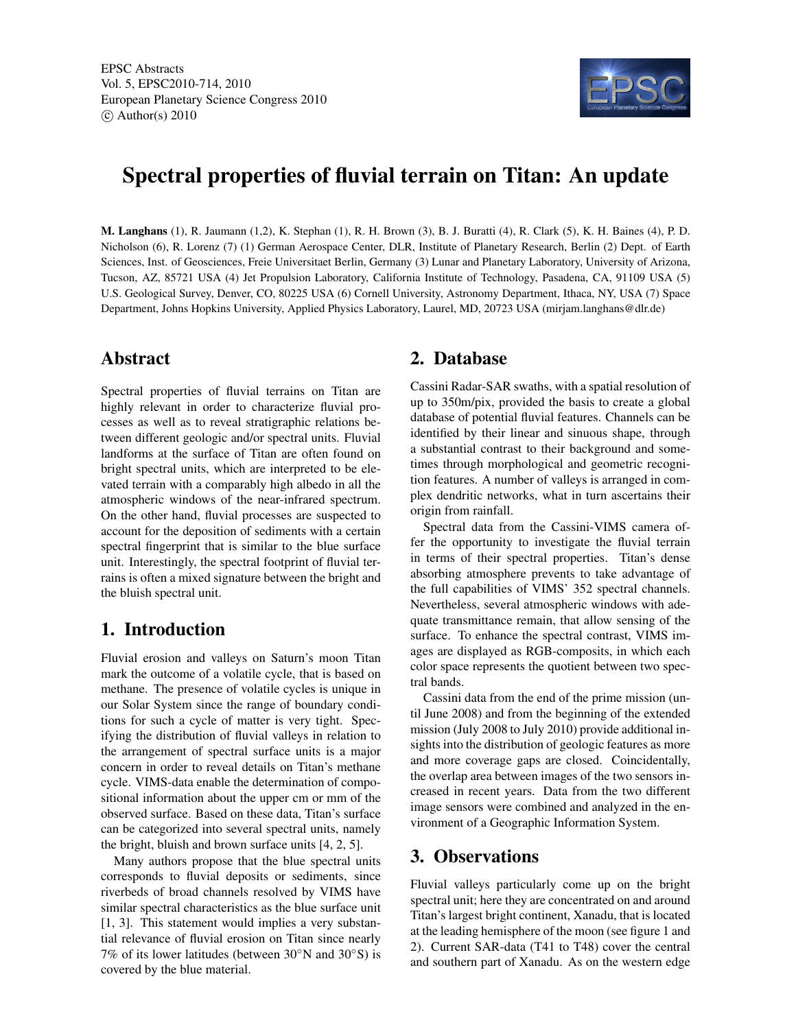EPSC Abstracts Vol. 5, EPSC2010-714, 2010 European Planetary Science Congress 2010  $\circ$  Author(s) 2010



# Spectral properties of fluvial terrain on Titan: An update

M. Langhans (1), R. Jaumann (1,2), K. Stephan (1), R. H. Brown (3), B. J. Buratti (4), R. Clark (5), K. H. Baines (4), P. D. Nicholson (6), R. Lorenz (7) (1) German Aerospace Center, DLR, Institute of Planetary Research, Berlin (2) Dept. of Earth Sciences, Inst. of Geosciences, Freie Universitaet Berlin, Germany (3) Lunar and Planetary Laboratory, University of Arizona, Tucson, AZ, 85721 USA (4) Jet Propulsion Laboratory, California Institute of Technology, Pasadena, CA, 91109 USA (5) U.S. Geological Survey, Denver, CO, 80225 USA (6) Cornell University, Astronomy Department, Ithaca, NY, USA (7) Space Department, Johns Hopkins University, Applied Physics Laboratory, Laurel, MD, 20723 USA (mirjam.langhans@dlr.de)

### Abstract

Spectral properties of fluvial terrains on Titan are highly relevant in order to characterize fluvial processes as well as to reveal stratigraphic relations between different geologic and/or spectral units. Fluvial landforms at the surface of Titan are often found on bright spectral units, which are interpreted to be elevated terrain with a comparably high albedo in all the atmospheric windows of the near-infrared spectrum. On the other hand, fluvial processes are suspected to account for the deposition of sediments with a certain spectral fingerprint that is similar to the blue surface unit. Interestingly, the spectral footprint of fluvial terrains is often a mixed signature between the bright and the bluish spectral unit.

## 1. Introduction

Fluvial erosion and valleys on Saturn's moon Titan mark the outcome of a volatile cycle, that is based on methane. The presence of volatile cycles is unique in our Solar System since the range of boundary conditions for such a cycle of matter is very tight. Specifying the distribution of fluvial valleys in relation to the arrangement of spectral surface units is a major concern in order to reveal details on Titan's methane cycle. VIMS-data enable the determination of compositional information about the upper cm or mm of the observed surface. Based on these data, Titan's surface can be categorized into several spectral units, namely the bright, bluish and brown surface units [4, 2, 5].

Many authors propose that the blue spectral units corresponds to fluvial deposits or sediments, since riverbeds of broad channels resolved by VIMS have similar spectral characteristics as the blue surface unit [1, 3]. This statement would implies a very substantial relevance of fluvial erosion on Titan since nearly 7% of its lower latitudes (between 30◦N and 30◦S) is covered by the blue material.

#### 2. Database

Cassini Radar-SAR swaths, with a spatial resolution of up to 350m/pix, provided the basis to create a global database of potential fluvial features. Channels can be identified by their linear and sinuous shape, through a substantial contrast to their background and sometimes through morphological and geometric recognition features. A number of valleys is arranged in complex dendritic networks, what in turn ascertains their origin from rainfall.

Spectral data from the Cassini-VIMS camera offer the opportunity to investigate the fluvial terrain in terms of their spectral properties. Titan's dense absorbing atmosphere prevents to take advantage of the full capabilities of VIMS' 352 spectral channels. Nevertheless, several atmospheric windows with adequate transmittance remain, that allow sensing of the surface. To enhance the spectral contrast, VIMS images are displayed as RGB-composits, in which each color space represents the quotient between two spectral bands.

Cassini data from the end of the prime mission (until June 2008) and from the beginning of the extended mission (July 2008 to July 2010) provide additional insights into the distribution of geologic features as more and more coverage gaps are closed. Coincidentally, the overlap area between images of the two sensors increased in recent years. Data from the two different image sensors were combined and analyzed in the environment of a Geographic Information System.

#### 3. Observations

Fluvial valleys particularly come up on the bright spectral unit; here they are concentrated on and around Titan's largest bright continent, Xanadu, that is located at the leading hemisphere of the moon (see figure 1 and 2). Current SAR-data (T41 to T48) cover the central and southern part of Xanadu. As on the western edge